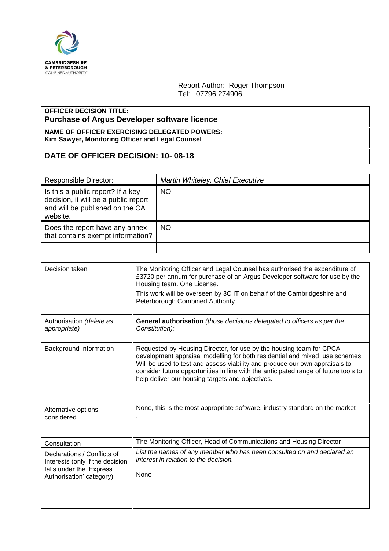

Report Author: Roger Thompson Tel: 07796 274906

## **OFFICER DECISION TITLE: Purchase of Argus Developer software licence**

**NAME OF OFFICER EXERCISING DELEGATED POWERS: Kim Sawyer, Monitoring Officer and Legal Counsel**

## **DATE OF OFFICER DECISION: 10- 08-18**

| <b>Responsible Director:</b>                                                                                             | Martin Whiteley, Chief Executive |
|--------------------------------------------------------------------------------------------------------------------------|----------------------------------|
| Is this a public report? If a key<br>decision, it will be a public report<br>and will be published on the CA<br>website. | <b>NO</b>                        |
| Does the report have any annex<br>that contains exempt information?                                                      | <b>NO</b>                        |
|                                                                                                                          |                                  |

| Decision taken                                                                                                         | The Monitoring Officer and Legal Counsel has authorised the expenditure of<br>£3720 per annum for purchase of an Argus Developer software for use by the<br>Housing team. One License.<br>This work will be overseen by 3C IT on behalf of the Cambridgeshire and<br>Peterborough Combined Authority.                                                                        |
|------------------------------------------------------------------------------------------------------------------------|------------------------------------------------------------------------------------------------------------------------------------------------------------------------------------------------------------------------------------------------------------------------------------------------------------------------------------------------------------------------------|
| Authorisation (delete as<br>appropriate)                                                                               | General authorisation (those decisions delegated to officers as per the<br>Constitution):                                                                                                                                                                                                                                                                                    |
| Background Information                                                                                                 | Requested by Housing Director, for use by the housing team for CPCA<br>development appraisal modelling for both residential and mixed use schemes.<br>Will be used to test and assess viability and produce our own appraisals to<br>consider future opportunities in line with the anticipated range of future tools to<br>help deliver our housing targets and objectives. |
| Alternative options<br>considered.                                                                                     | None, this is the most appropriate software, industry standard on the market                                                                                                                                                                                                                                                                                                 |
| Consultation                                                                                                           | The Monitoring Officer, Head of Communications and Housing Director                                                                                                                                                                                                                                                                                                          |
| Declarations / Conflicts of<br>Interests (only if the decision<br>falls under the 'Express<br>Authorisation' category) | List the names of any member who has been consulted on and declared an<br>interest in relation to the decision.<br>None                                                                                                                                                                                                                                                      |